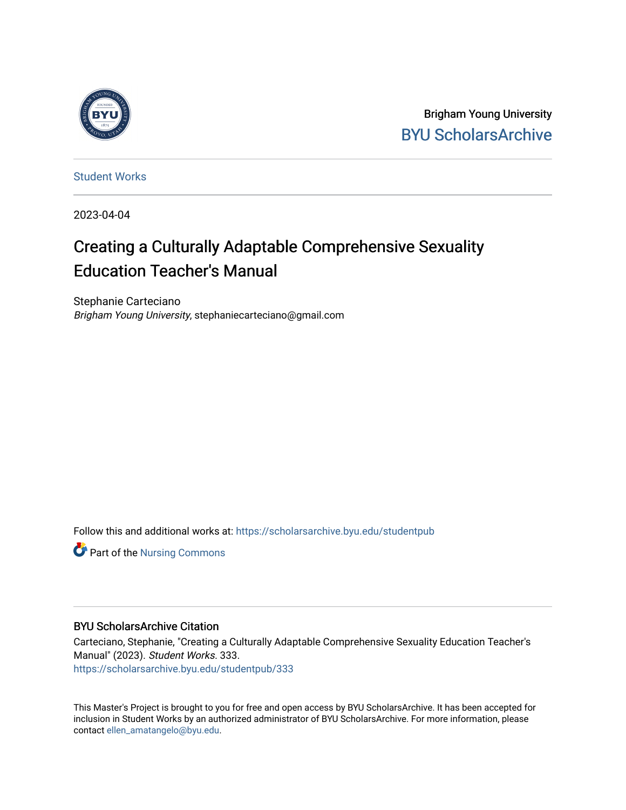

Brigham Young University [BYU ScholarsArchive](https://scholarsarchive.byu.edu/) 

[Student Works](https://scholarsarchive.byu.edu/studentpub)

2023-04-04

# Creating a Culturally Adaptable Comprehensive Sexuality Education Teacher's Manual

Stephanie Carteciano Brigham Young University, stephaniecarteciano@gmail.com

Follow this and additional works at: [https://scholarsarchive.byu.edu/studentpub](https://scholarsarchive.byu.edu/studentpub?utm_source=scholarsarchive.byu.edu%2Fstudentpub%2F333&utm_medium=PDF&utm_campaign=PDFCoverPages)

**Part of the Nursing Commons** 

#### BYU ScholarsArchive Citation

Carteciano, Stephanie, "Creating a Culturally Adaptable Comprehensive Sexuality Education Teacher's Manual" (2023). Student Works. 333. [https://scholarsarchive.byu.edu/studentpub/333](https://scholarsarchive.byu.edu/studentpub/333?utm_source=scholarsarchive.byu.edu%2Fstudentpub%2F333&utm_medium=PDF&utm_campaign=PDFCoverPages)

This Master's Project is brought to you for free and open access by BYU ScholarsArchive. It has been accepted for inclusion in Student Works by an authorized administrator of BYU ScholarsArchive. For more information, please contact [ellen\\_amatangelo@byu.edu.](mailto:ellen_amatangelo@byu.edu)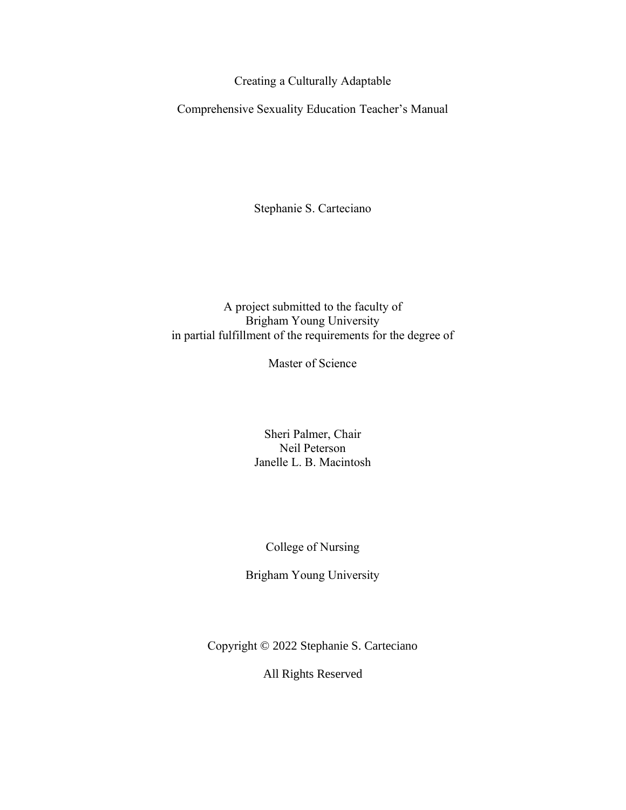Creating a Culturally Adaptable

Comprehensive Sexuality Education Teacher's Manual

Stephanie S. Carteciano

# A project submitted to the faculty of Brigham Young University in partial fulfillment of the requirements for the degree of

Master of Science

Sheri Palmer, Chair Neil Peterson Janelle L. B. Macintosh

College of Nursing

Brigham Young University

Copyright © 2022 Stephanie S. Carteciano

All Rights Reserved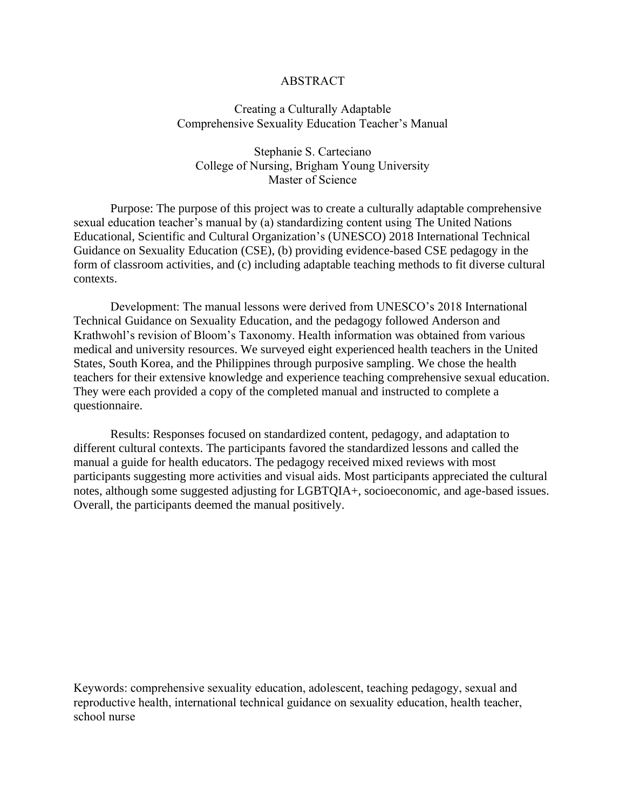#### ABSTRACT

#### Creating a Culturally Adaptable Comprehensive Sexuality Education Teacher's Manual

Stephanie S. Carteciano College of Nursing, Brigham Young University Master of Science

Purpose: The purpose of this project was to create a culturally adaptable comprehensive sexual education teacher's manual by (a) standardizing content using The United Nations Educational, Scientific and Cultural Organization's (UNESCO) 2018 International Technical Guidance on Sexuality Education (CSE), (b) providing evidence-based CSE pedagogy in the form of classroom activities, and (c) including adaptable teaching methods to fit diverse cultural contexts.

Development: The manual lessons were derived from UNESCO's 2018 International Technical Guidance on Sexuality Education, and the pedagogy followed Anderson and Krathwohl's revision of Bloom's Taxonomy. Health information was obtained from various medical and university resources. We surveyed eight experienced health teachers in the United States, South Korea, and the Philippines through purposive sampling. We chose the health teachers for their extensive knowledge and experience teaching comprehensive sexual education. They were each provided a copy of the completed manual and instructed to complete a questionnaire.

Results: Responses focused on standardized content, pedagogy, and adaptation to different cultural contexts. The participants favored the standardized lessons and called the manual a guide for health educators. The pedagogy received mixed reviews with most participants suggesting more activities and visual aids. Most participants appreciated the cultural notes, although some suggested adjusting for LGBTQIA+, socioeconomic, and age-based issues. Overall, the participants deemed the manual positively.

Keywords: comprehensive sexuality education, adolescent, teaching pedagogy, sexual and reproductive health, international technical guidance on sexuality education, health teacher, school nurse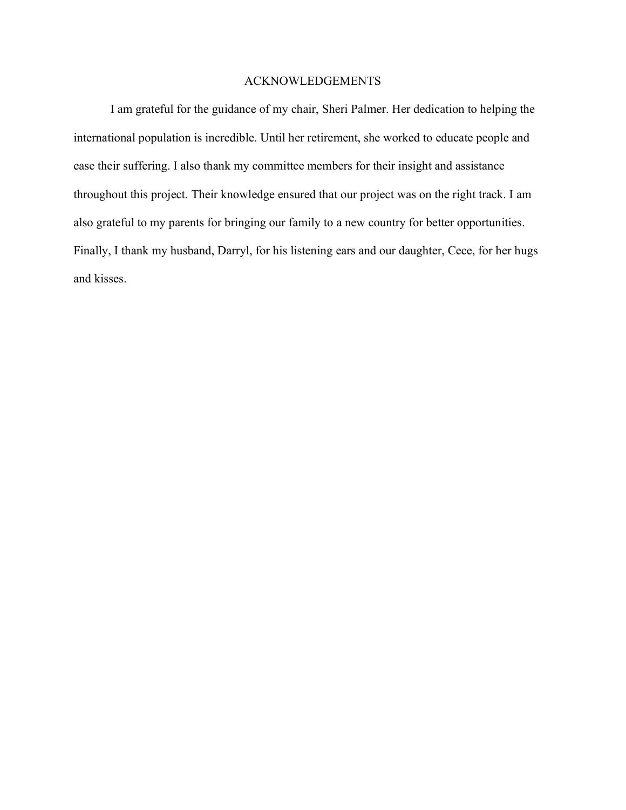#### ACKNOWLEDGEMENTS

I am grateful for the guidance of my chair, Sheri Palmer. Her dedication to helping the international population is incredible. Until her retirement, she worked to educate people and ease their suffering. I also thank my committee members for their insight and assistance throughout this project. Their knowledge ensured that our project was on the right track. I am also grateful to my parents for bringing our family to a new country for better opportunities. Finally, I thank my husband, Darryl, for his listening ears and our daughter, Cece, for her hugs and kisses.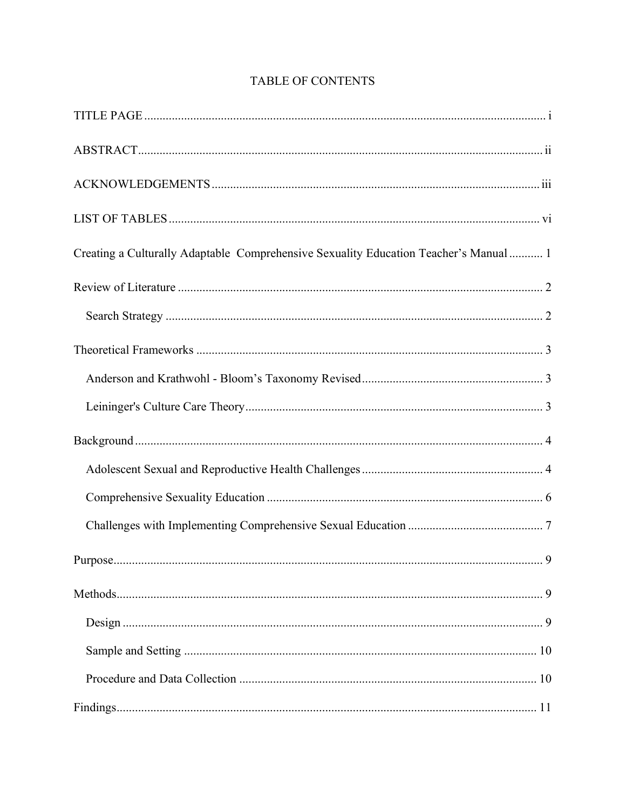| Creating a Culturally Adaptable Comprehensive Sexuality Education Teacher's Manual 1 |
|--------------------------------------------------------------------------------------|
|                                                                                      |
|                                                                                      |
|                                                                                      |
|                                                                                      |
|                                                                                      |
|                                                                                      |
|                                                                                      |
|                                                                                      |
|                                                                                      |
|                                                                                      |
|                                                                                      |
|                                                                                      |
|                                                                                      |
|                                                                                      |
|                                                                                      |

# TABLE OF CONTENTS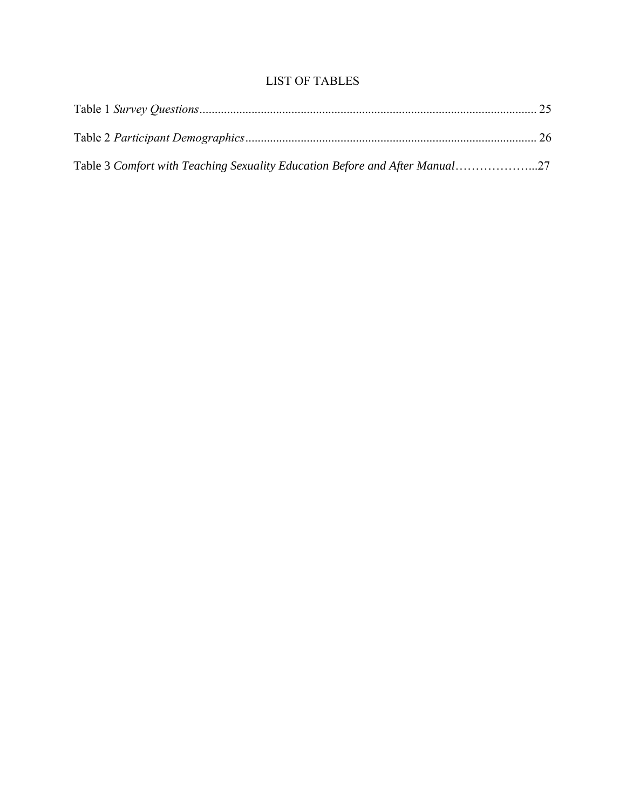# LIST OF TABLES

| Table 3 Comfort with Teaching Sexuality Education Before and After Manual27 |  |
|-----------------------------------------------------------------------------|--|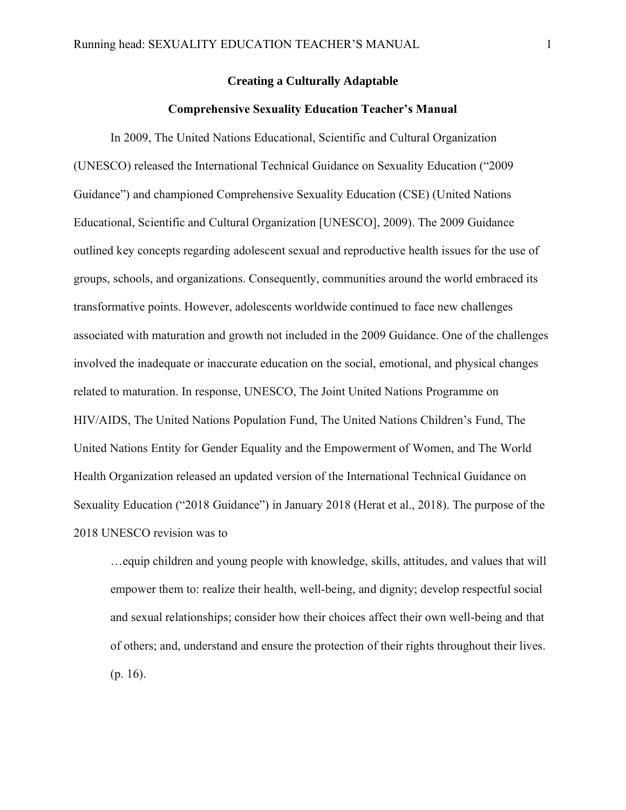#### **Creating a Culturally Adaptable**

#### **Comprehensive Sexuality Education Teacher's Manual**

In 2009, The United Nations Educational, Scientific and Cultural Organization (UNESCO) released the International Technical Guidance on Sexuality Education ("2009 Guidance") and championed Comprehensive Sexuality Education (CSE) (United Nations Educational, Scientific and Cultural Organization [UNESCO], 2009). The 2009 Guidance outlined key concepts regarding adolescent sexual and reproductive health issues for the use of groups, schools, and organizations. Consequently, communities around the world embraced its transformative points. However, adolescents worldwide continued to face new challenges associated with maturation and growth not included in the 2009 Guidance. One of the challenges involved the inadequate or inaccurate education on the social, emotional, and physical changes related to maturation. In response, UNESCO, The Joint United Nations Programme on HIV/AIDS, The United Nations Population Fund, The United Nations Children's Fund, The United Nations Entity for Gender Equality and the Empowerment of Women, and The World Health Organization released an updated version of the International Technical Guidance on Sexuality Education ("2018 Guidance") in January 2018 (Herat et al., 2018). The purpose of the 2018 UNESCO revision was to

…equip children and young people with knowledge, skills, attitudes, and values that will empower them to: realize their health, well-being, and dignity; develop respectful social and sexual relationships; consider how their choices affect their own well-being and that of others; and, understand and ensure the protection of their rights throughout their lives. (p. 16).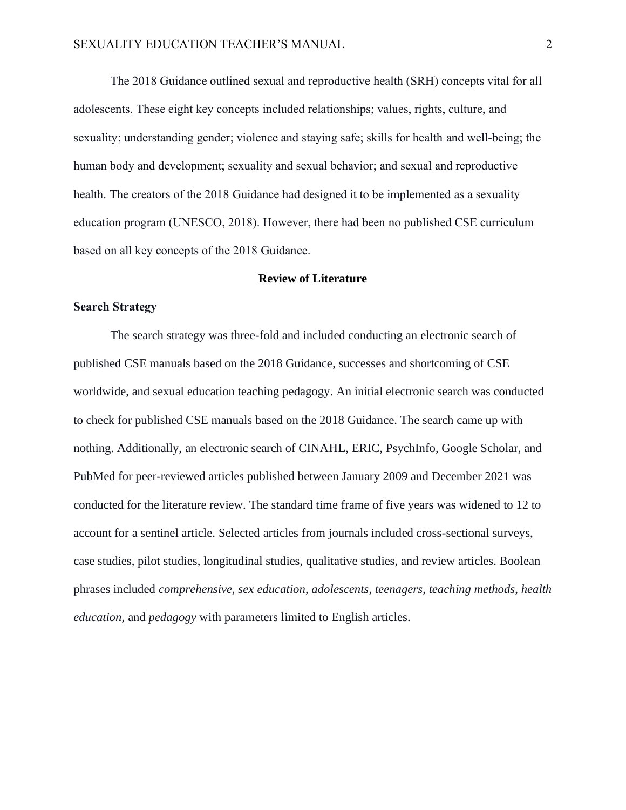The 2018 Guidance outlined sexual and reproductive health (SRH) concepts vital for all adolescents. These eight key concepts included relationships; values, rights, culture, and sexuality; understanding gender; violence and staying safe; skills for health and well-being; the human body and development; sexuality and sexual behavior; and sexual and reproductive health. The creators of the 2018 Guidance had designed it to be implemented as a sexuality education program (UNESCO, 2018). However, there had been no published CSE curriculum based on all key concepts of the 2018 Guidance.

#### **Review of Literature**

#### **Search Strategy**

The search strategy was three-fold and included conducting an electronic search of published CSE manuals based on the 2018 Guidance, successes and shortcoming of CSE worldwide, and sexual education teaching pedagogy. An initial electronic search was conducted to check for published CSE manuals based on the 2018 Guidance. The search came up with nothing. Additionally, an electronic search of CINAHL, ERIC, PsychInfo, Google Scholar, and PubMed for peer-reviewed articles published between January 2009 and December 2021 was conducted for the literature review. The standard time frame of five years was widened to 12 to account for a sentinel article. Selected articles from journals included cross-sectional surveys, case studies, pilot studies, longitudinal studies, qualitative studies, and review articles. Boolean phrases included *comprehensive, sex education*, *adolescents*, *teenagers*, *teaching methods*, *health education,* and *pedagogy* with parameters limited to English articles.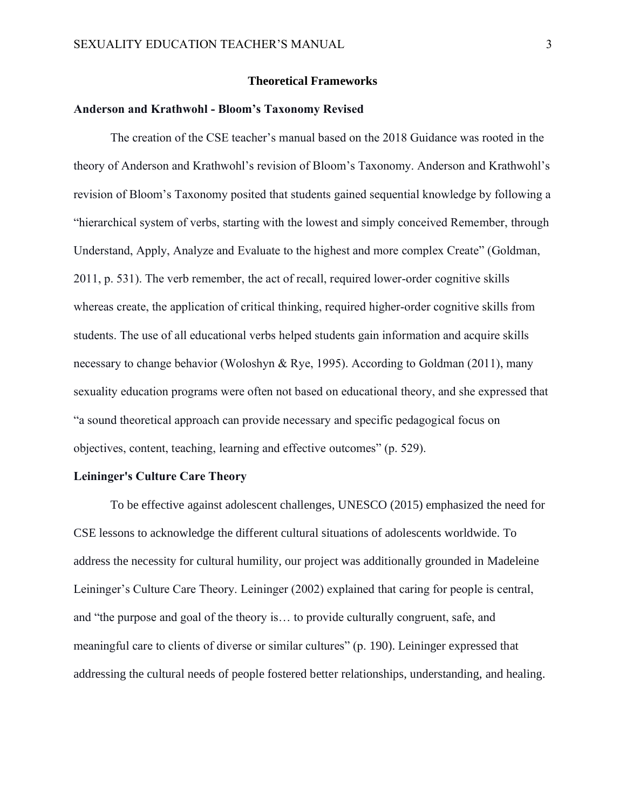#### **Theoretical Frameworks**

### **Anderson and Krathwohl - Bloom's Taxonomy Revised**

The creation of the CSE teacher's manual based on the 2018 Guidance was rooted in the theory of Anderson and Krathwohl's revision of Bloom's Taxonomy. Anderson and Krathwohl's revision of Bloom's Taxonomy posited that students gained sequential knowledge by following a "hierarchical system of verbs, starting with the lowest and simply conceived Remember, through Understand, Apply, Analyze and Evaluate to the highest and more complex Create" (Goldman, 2011, p. 531). The verb remember, the act of recall, required lower-order cognitive skills whereas create, the application of critical thinking, required higher-order cognitive skills from students. The use of all educational verbs helped students gain information and acquire skills necessary to change behavior (Woloshyn & Rye, 1995). According to Goldman (2011), many sexuality education programs were often not based on educational theory, and she expressed that "a sound theoretical approach can provide necessary and specific pedagogical focus on objectives, content, teaching, learning and effective outcomes" (p. 529).

#### **Leininger's Culture Care Theory**

To be effective against adolescent challenges, UNESCO (2015) emphasized the need for CSE lessons to acknowledge the different cultural situations of adolescents worldwide. To address the necessity for cultural humility, our project was additionally grounded in Madeleine Leininger's Culture Care Theory. Leininger (2002) explained that caring for people is central, and "the purpose and goal of the theory is… to provide culturally congruent, safe, and meaningful care to clients of diverse or similar cultures" (p. 190). Leininger expressed that addressing the cultural needs of people fostered better relationships, understanding, and healing.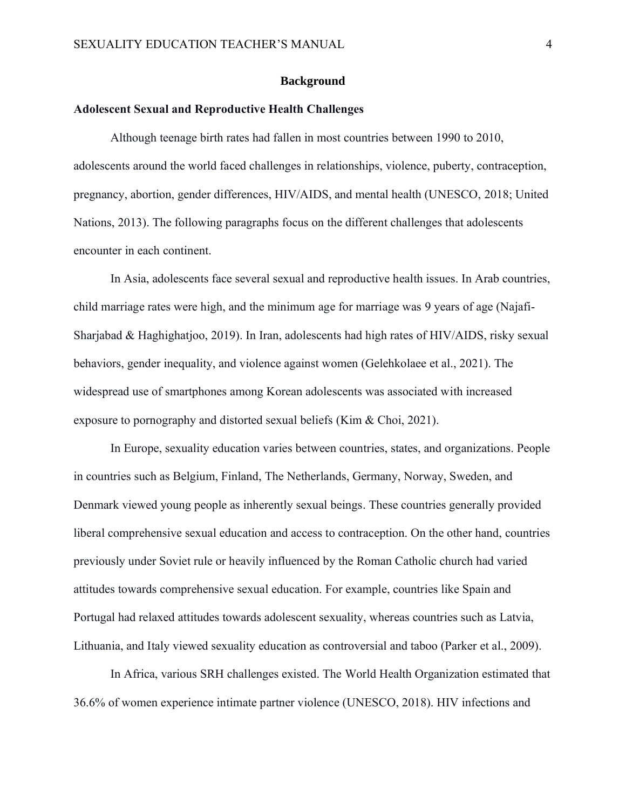#### **Background**

#### **Adolescent Sexual and Reproductive Health Challenges**

Although teenage birth rates had fallen in most countries between 1990 to 2010, adolescents around the world faced challenges in relationships, violence, puberty, contraception, pregnancy, abortion, gender differences, HIV/AIDS, and mental health (UNESCO, 2018; United Nations, 2013). The following paragraphs focus on the different challenges that adolescents encounter in each continent.

In Asia, adolescents face several sexual and reproductive health issues. In Arab countries, child marriage rates were high, and the minimum age for marriage was 9 years of age (Najafi-Sharjabad & Haghighatjoo, 2019). In Iran, adolescents had high rates of HIV/AIDS, risky sexual behaviors, gender inequality, and violence against women (Gelehkolaee et al., 2021). The widespread use of smartphones among Korean adolescents was associated with increased exposure to pornography and distorted sexual beliefs (Kim & Choi, 2021).

In Europe, sexuality education varies between countries, states, and organizations. People in countries such as Belgium, Finland, The Netherlands, Germany, Norway, Sweden, and Denmark viewed young people as inherently sexual beings. These countries generally provided liberal comprehensive sexual education and access to contraception. On the other hand, countries previously under Soviet rule or heavily influenced by the Roman Catholic church had varied attitudes towards comprehensive sexual education. For example, countries like Spain and Portugal had relaxed attitudes towards adolescent sexuality, whereas countries such as Latvia, Lithuania, and Italy viewed sexuality education as controversial and taboo (Parker et al., 2009).

In Africa, various SRH challenges existed. The World Health Organization estimated that 36.6% of women experience intimate partner violence (UNESCO, 2018). HIV infections and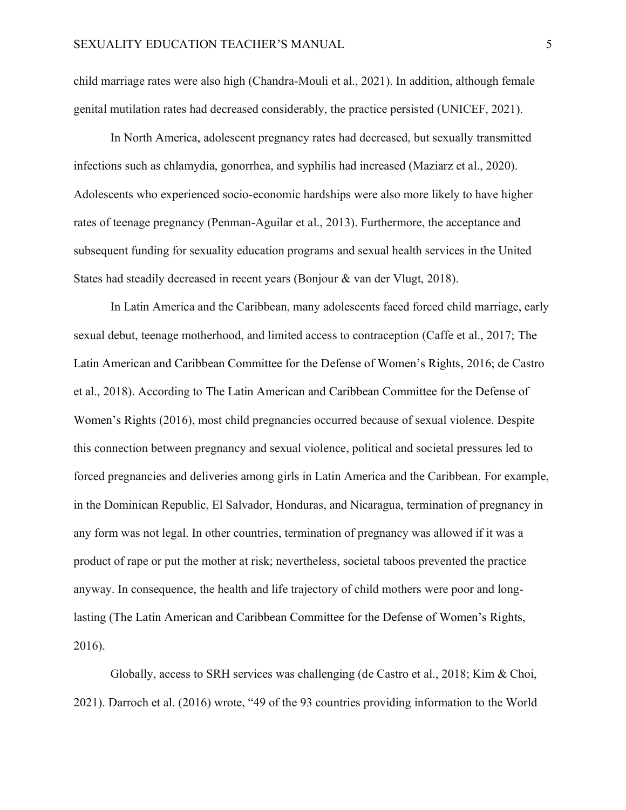child marriage rates were also high (Chandra-Mouli et al., 2021). In addition, although female genital mutilation rates had decreased considerably, the practice persisted (UNICEF, 2021).

In North America, adolescent pregnancy rates had decreased, but sexually transmitted infections such as chlamydia, gonorrhea, and syphilis had increased (Maziarz et al., 2020). Adolescents who experienced socio-economic hardships were also more likely to have higher rates of teenage pregnancy (Penman-Aguilar et al., 2013). Furthermore, the acceptance and subsequent funding for sexuality education programs and sexual health services in the United States had steadily decreased in recent years (Bonjour & van der Vlugt, 2018).

In Latin America and the Caribbean, many adolescents faced forced child marriage, early sexual debut, teenage motherhood, and limited access to contraception (Caffe et al., 2017; The Latin American and Caribbean Committee for the Defense of Women's Rights, 2016; de Castro et al., 2018). According to The Latin American and Caribbean Committee for the Defense of Women's Rights (2016), most child pregnancies occurred because of sexual violence. Despite this connection between pregnancy and sexual violence, political and societal pressures led to forced pregnancies and deliveries among girls in Latin America and the Caribbean. For example, in the Dominican Republic, El Salvador, Honduras, and Nicaragua, termination of pregnancy in any form was not legal. In other countries, termination of pregnancy was allowed if it was a product of rape or put the mother at risk; nevertheless, societal taboos prevented the practice anyway. In consequence, the health and life trajectory of child mothers were poor and longlasting (The Latin American and Caribbean Committee for the Defense of Women's Rights, 2016).

Globally, access to SRH services was challenging (de Castro et al., 2018; Kim & Choi, 2021). Darroch et al. (2016) wrote, "49 of the 93 countries providing information to the World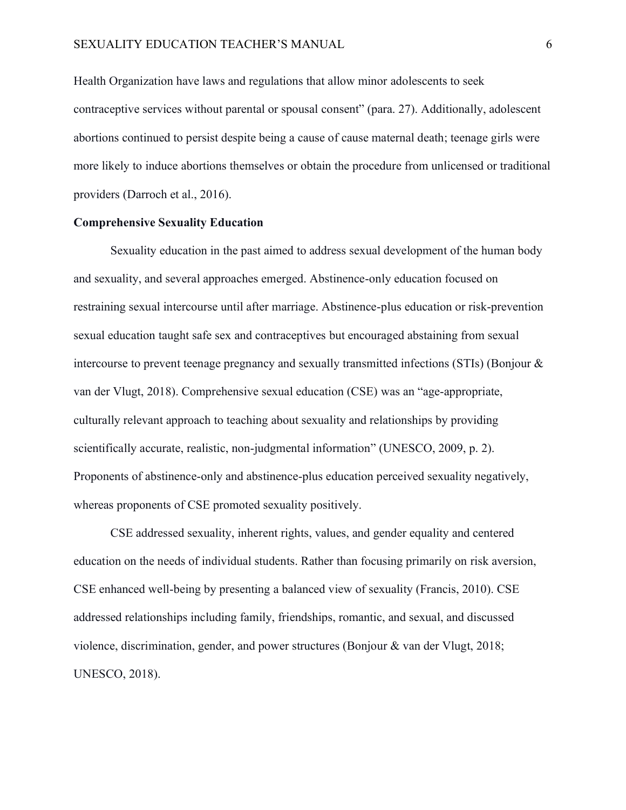Health Organization have laws and regulations that allow minor adolescents to seek contraceptive services without parental or spousal consent" (para. 27). Additionally, adolescent abortions continued to persist despite being a cause of cause maternal death; teenage girls were more likely to induce abortions themselves or obtain the procedure from unlicensed or traditional providers (Darroch et al., 2016).

#### **Comprehensive Sexuality Education**

Sexuality education in the past aimed to address sexual development of the human body and sexuality, and several approaches emerged. Abstinence-only education focused on restraining sexual intercourse until after marriage. Abstinence-plus education or risk-prevention sexual education taught safe sex and contraceptives but encouraged abstaining from sexual intercourse to prevent teenage pregnancy and sexually transmitted infections (STIs) (Bonjour & van der Vlugt, 2018). Comprehensive sexual education (CSE) was an "age-appropriate, culturally relevant approach to teaching about sexuality and relationships by providing scientifically accurate, realistic, non-judgmental information" (UNESCO, 2009, p. 2). Proponents of abstinence-only and abstinence-plus education perceived sexuality negatively, whereas proponents of CSE promoted sexuality positively.

CSE addressed sexuality, inherent rights, values, and gender equality and centered education on the needs of individual students. Rather than focusing primarily on risk aversion, CSE enhanced well-being by presenting a balanced view of sexuality (Francis, 2010). CSE addressed relationships including family, friendships, romantic, and sexual, and discussed violence, discrimination, gender, and power structures (Bonjour & van der Vlugt, 2018; UNESCO, 2018).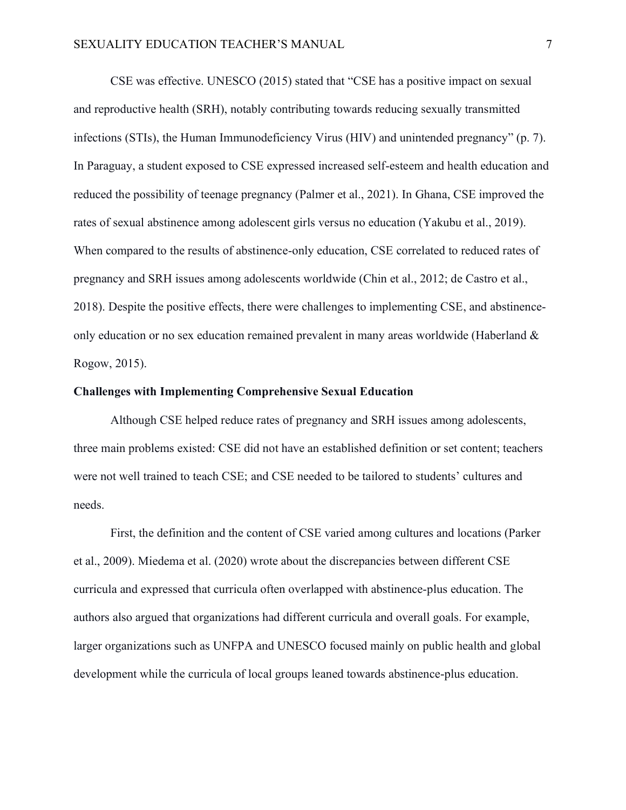CSE was effective. UNESCO (2015) stated that "CSE has a positive impact on sexual and reproductive health (SRH), notably contributing towards reducing sexually transmitted infections (STIs), the Human Immunodeficiency Virus (HIV) and unintended pregnancy" (p. 7). In Paraguay, a student exposed to CSE expressed increased self-esteem and health education and reduced the possibility of teenage pregnancy (Palmer et al., 2021). In Ghana, CSE improved the rates of sexual abstinence among adolescent girls versus no education (Yakubu et al., 2019). When compared to the results of abstinence-only education, CSE correlated to reduced rates of pregnancy and SRH issues among adolescents worldwide (Chin et al., 2012; de Castro et al., 2018). Despite the positive effects, there were challenges to implementing CSE, and abstinenceonly education or no sex education remained prevalent in many areas worldwide (Haberland & Rogow, 2015).

#### **Challenges with Implementing Comprehensive Sexual Education**

Although CSE helped reduce rates of pregnancy and SRH issues among adolescents, three main problems existed: CSE did not have an established definition or set content; teachers were not well trained to teach CSE; and CSE needed to be tailored to students' cultures and needs.

First, the definition and the content of CSE varied among cultures and locations (Parker et al., 2009). Miedema et al. (2020) wrote about the discrepancies between different CSE curricula and expressed that curricula often overlapped with abstinence-plus education. The authors also argued that organizations had different curricula and overall goals. For example, larger organizations such as UNFPA and UNESCO focused mainly on public health and global development while the curricula of local groups leaned towards abstinence-plus education.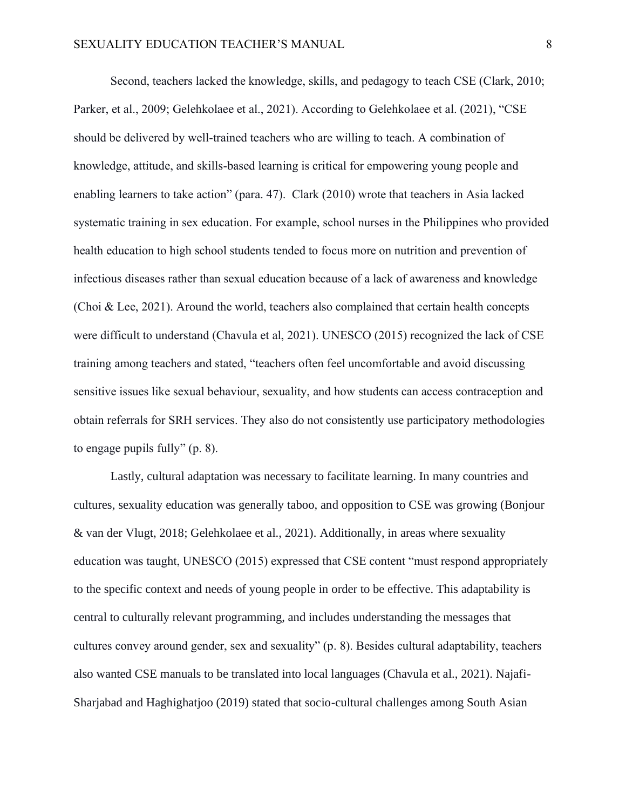Second, teachers lacked the knowledge, skills, and pedagogy to teach CSE (Clark, 2010; Parker, et al., 2009; Gelehkolaee et al., 2021). According to Gelehkolaee et al. (2021), "CSE should be delivered by well-trained teachers who are willing to teach. A combination of knowledge, attitude, and skills-based learning is critical for empowering young people and enabling learners to take action" (para. 47). Clark (2010) wrote that teachers in Asia lacked systematic training in sex education. For example, school nurses in the Philippines who provided health education to high school students tended to focus more on nutrition and prevention of infectious diseases rather than sexual education because of a lack of awareness and knowledge (Choi & Lee, 2021). Around the world, teachers also complained that certain health concepts were difficult to understand (Chavula et al, 2021). UNESCO (2015) recognized the lack of CSE training among teachers and stated, "teachers often feel uncomfortable and avoid discussing sensitive issues like sexual behaviour, sexuality, and how students can access contraception and obtain referrals for SRH services. They also do not consistently use participatory methodologies to engage pupils fully" (p. 8).

Lastly, cultural adaptation was necessary to facilitate learning. In many countries and cultures, sexuality education was generally taboo, and opposition to CSE was growing (Bonjour & van der Vlugt, 2018; Gelehkolaee et al., 2021). Additionally, in areas where sexuality education was taught, UNESCO (2015) expressed that CSE content "must respond appropriately to the specific context and needs of young people in order to be effective. This adaptability is central to culturally relevant programming, and includes understanding the messages that cultures convey around gender, sex and sexuality" (p. 8). Besides cultural adaptability, teachers also wanted CSE manuals to be translated into local languages (Chavula et al., 2021). Najafi-Sharjabad and Haghighatjoo (2019) stated that socio-cultural challenges among South Asian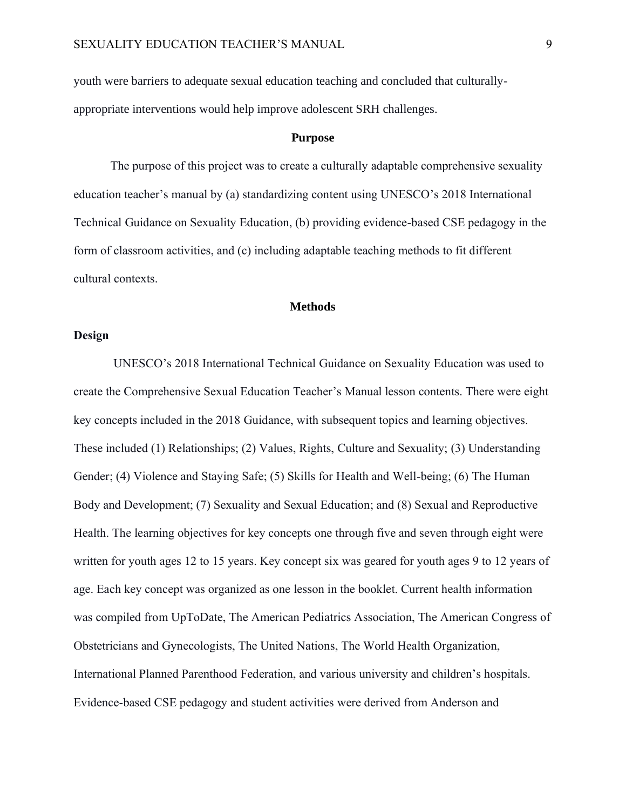youth were barriers to adequate sexual education teaching and concluded that culturallyappropriate interventions would help improve adolescent SRH challenges.

#### **Purpose**

The purpose of this project was to create a culturally adaptable comprehensive sexuality education teacher's manual by (a) standardizing content using UNESCO's 2018 International Technical Guidance on Sexuality Education, (b) providing evidence-based CSE pedagogy in the form of classroom activities, and (c) including adaptable teaching methods to fit different cultural contexts.

#### **Methods**

#### **Design**

UNESCO's 2018 International Technical Guidance on Sexuality Education was used to create the Comprehensive Sexual Education Teacher's Manual lesson contents. There were eight key concepts included in the 2018 Guidance, with subsequent topics and learning objectives. These included (1) Relationships; (2) Values, Rights, Culture and Sexuality; (3) Understanding Gender; (4) Violence and Staying Safe; (5) Skills for Health and Well-being; (6) The Human Body and Development; (7) Sexuality and Sexual Education; and (8) Sexual and Reproductive Health. The learning objectives for key concepts one through five and seven through eight were written for youth ages 12 to 15 years. Key concept six was geared for youth ages 9 to 12 years of age. Each key concept was organized as one lesson in the booklet. Current health information was compiled from UpToDate, The American Pediatrics Association, The American Congress of Obstetricians and Gynecologists, The United Nations, The World Health Organization, International Planned Parenthood Federation, and various university and children's hospitals. Evidence-based CSE pedagogy and student activities were derived from Anderson and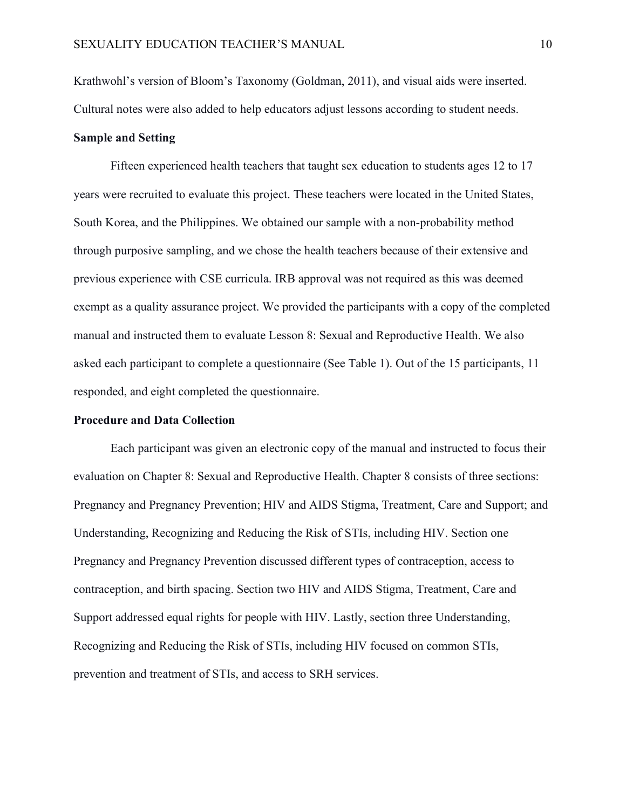Krathwohl's version of Bloom's Taxonomy (Goldman, 2011), and visual aids were inserted. Cultural notes were also added to help educators adjust lessons according to student needs.

#### **Sample and Setting**

Fifteen experienced health teachers that taught sex education to students ages 12 to 17 years were recruited to evaluate this project. These teachers were located in the United States, South Korea, and the Philippines. We obtained our sample with a non-probability method through purposive sampling, and we chose the health teachers because of their extensive and previous experience with CSE curricula. IRB approval was not required as this was deemed exempt as a quality assurance project. We provided the participants with a copy of the completed manual and instructed them to evaluate Lesson 8: Sexual and Reproductive Health. We also asked each participant to complete a questionnaire (See Table 1). Out of the 15 participants, 11 responded, and eight completed the questionnaire.

#### **Procedure and Data Collection**

Each participant was given an electronic copy of the manual and instructed to focus their evaluation on Chapter 8: Sexual and Reproductive Health. Chapter 8 consists of three sections: Pregnancy and Pregnancy Prevention; HIV and AIDS Stigma, Treatment, Care and Support; and Understanding, Recognizing and Reducing the Risk of STIs, including HIV. Section one Pregnancy and Pregnancy Prevention discussed different types of contraception, access to contraception, and birth spacing. Section two HIV and AIDS Stigma, Treatment, Care and Support addressed equal rights for people with HIV. Lastly, section three Understanding, Recognizing and Reducing the Risk of STIs, including HIV focused on common STIs, prevention and treatment of STIs, and access to SRH services.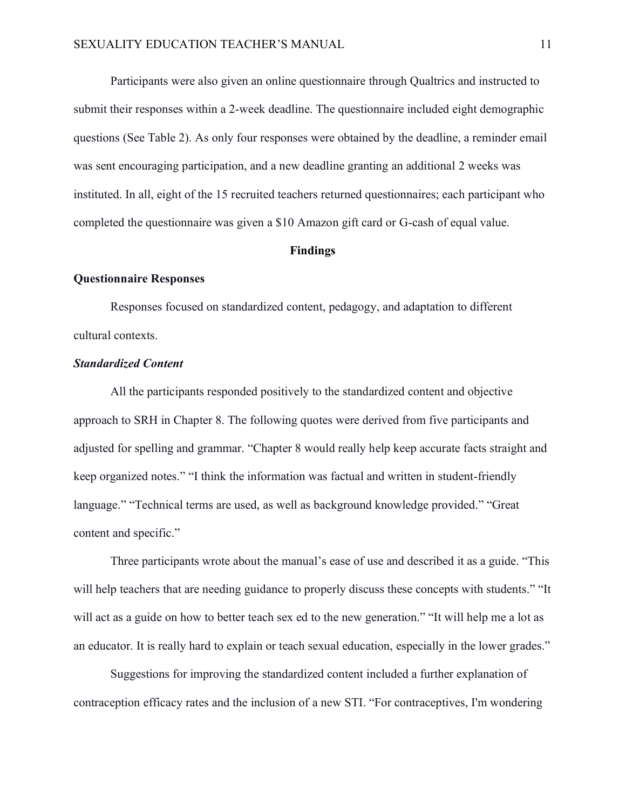Participants were also given an online questionnaire through Qualtrics and instructed to submit their responses within a 2-week deadline. The questionnaire included eight demographic questions (See Table 2). As only four responses were obtained by the deadline, a reminder email was sent encouraging participation, and a new deadline granting an additional 2 weeks was instituted. In all, eight of the 15 recruited teachers returned questionnaires; each participant who completed the questionnaire was given a \$10 Amazon gift card or G-cash of equal value.

#### **Findings**

#### **Questionnaire Responses**

Responses focused on standardized content, pedagogy, and adaptation to different cultural contexts.

#### *Standardized Content*

All the participants responded positively to the standardized content and objective approach to SRH in Chapter 8. The following quotes were derived from five participants and adjusted for spelling and grammar. "Chapter 8 would really help keep accurate facts straight and keep organized notes." "I think the information was factual and written in student-friendly language." "Technical terms are used, as well as background knowledge provided." "Great content and specific."

Three participants wrote about the manual's ease of use and described it as a guide. "This will help teachers that are needing guidance to properly discuss these concepts with students." "It will act as a guide on how to better teach sex ed to the new generation." "It will help me a lot as an educator. It is really hard to explain or teach sexual education, especially in the lower grades."

Suggestions for improving the standardized content included a further explanation of contraception efficacy rates and the inclusion of a new STI. "For contraceptives, I'm wondering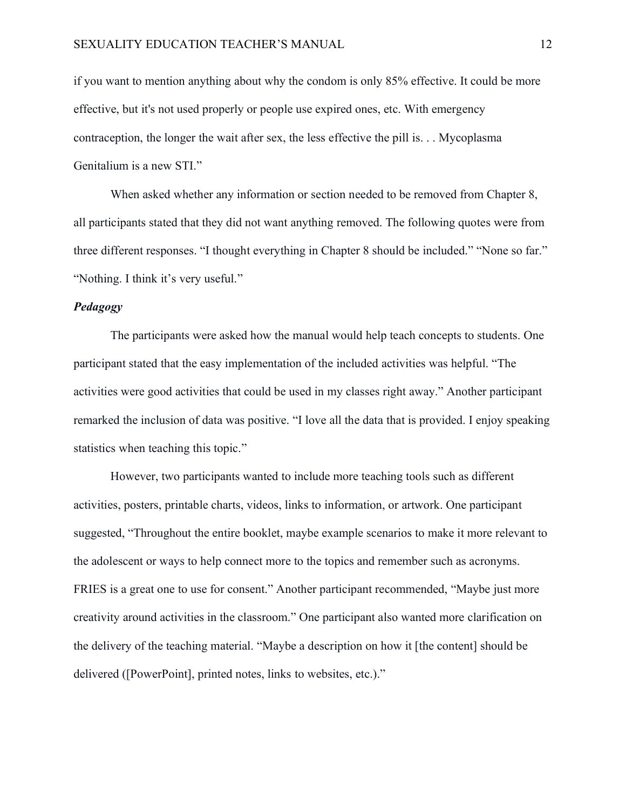if you want to mention anything about why the condom is only 85% effective. It could be more effective, but it's not used properly or people use expired ones, etc. With emergency contraception, the longer the wait after sex, the less effective the pill is. . . Mycoplasma Genitalium is a new STI."

When asked whether any information or section needed to be removed from Chapter 8, all participants stated that they did not want anything removed. The following quotes were from three different responses. "I thought everything in Chapter 8 should be included." "None so far." "Nothing. I think it's very useful."

#### *Pedagogy*

The participants were asked how the manual would help teach concepts to students. One participant stated that the easy implementation of the included activities was helpful. "The activities were good activities that could be used in my classes right away." Another participant remarked the inclusion of data was positive. "I love all the data that is provided. I enjoy speaking statistics when teaching this topic."

However, two participants wanted to include more teaching tools such as different activities, posters, printable charts, videos, links to information, or artwork. One participant suggested, "Throughout the entire booklet, maybe example scenarios to make it more relevant to the adolescent or ways to help connect more to the topics and remember such as acronyms. FRIES is a great one to use for consent." Another participant recommended, "Maybe just more creativity around activities in the classroom." One participant also wanted more clarification on the delivery of the teaching material. "Maybe a description on how it [the content] should be delivered ([PowerPoint], printed notes, links to websites, etc.)."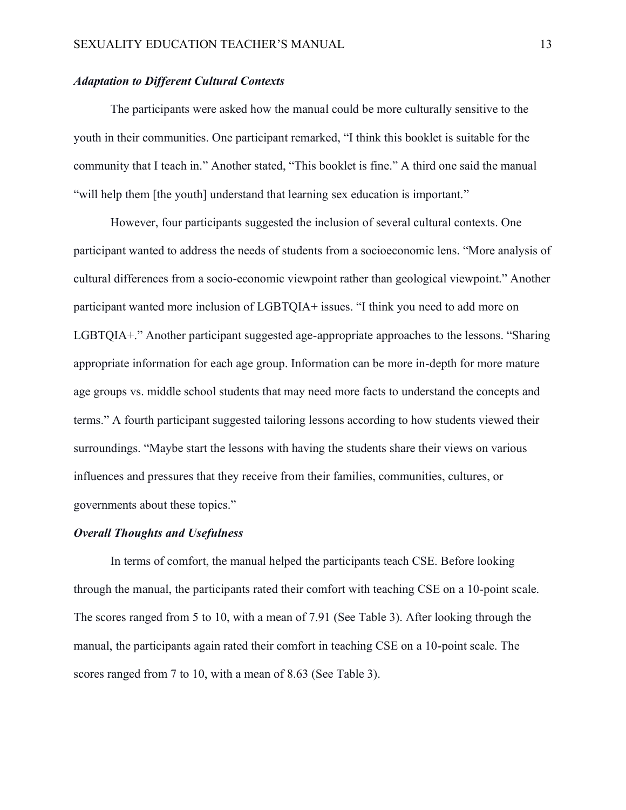### *Adaptation to Different Cultural Contexts*

The participants were asked how the manual could be more culturally sensitive to the youth in their communities. One participant remarked, "I think this booklet is suitable for the community that I teach in." Another stated, "This booklet is fine." A third one said the manual "will help them [the youth] understand that learning sex education is important."

However, four participants suggested the inclusion of several cultural contexts. One participant wanted to address the needs of students from a socioeconomic lens. "More analysis of cultural differences from a socio-economic viewpoint rather than geological viewpoint." Another participant wanted more inclusion of LGBTQIA+ issues. "I think you need to add more on LGBTQIA+." Another participant suggested age-appropriate approaches to the lessons. "Sharing appropriate information for each age group. Information can be more in-depth for more mature age groups vs. middle school students that may need more facts to understand the concepts and terms." A fourth participant suggested tailoring lessons according to how students viewed their surroundings. "Maybe start the lessons with having the students share their views on various influences and pressures that they receive from their families, communities, cultures, or governments about these topics."

#### *Overall Thoughts and Usefulness*

In terms of comfort, the manual helped the participants teach CSE. Before looking through the manual, the participants rated their comfort with teaching CSE on a 10-point scale. The scores ranged from 5 to 10, with a mean of 7.91 (See Table 3). After looking through the manual, the participants again rated their comfort in teaching CSE on a 10-point scale. The scores ranged from 7 to 10, with a mean of 8.63 (See Table 3).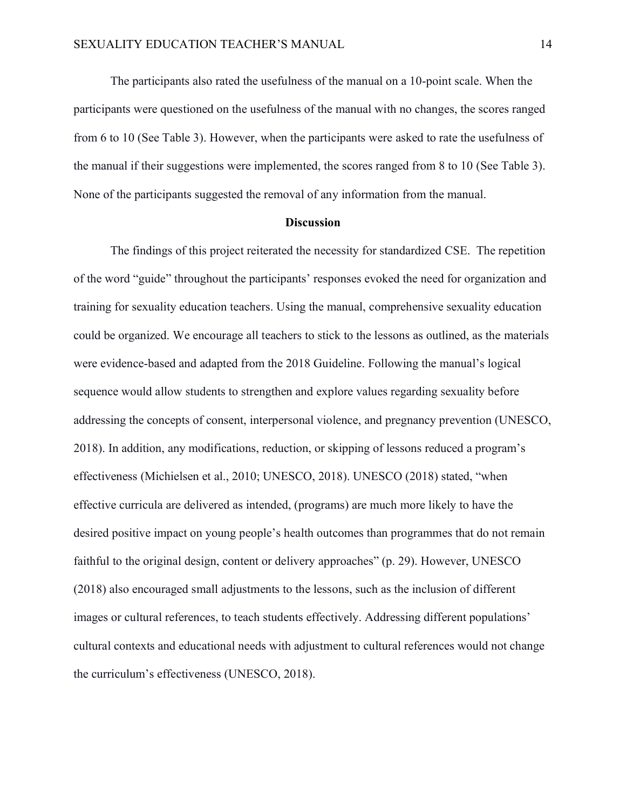The participants also rated the usefulness of the manual on a 10-point scale. When the participants were questioned on the usefulness of the manual with no changes, the scores ranged from 6 to 10 (See Table 3). However, when the participants were asked to rate the usefulness of the manual if their suggestions were implemented, the scores ranged from 8 to 10 (See Table 3). None of the participants suggested the removal of any information from the manual.

#### **Discussion**

The findings of this project reiterated the necessity for standardized CSE. The repetition of the word "guide" throughout the participants' responses evoked the need for organization and training for sexuality education teachers. Using the manual, comprehensive sexuality education could be organized. We encourage all teachers to stick to the lessons as outlined, as the materials were evidence-based and adapted from the 2018 Guideline. Following the manual's logical sequence would allow students to strengthen and explore values regarding sexuality before addressing the concepts of consent, interpersonal violence, and pregnancy prevention (UNESCO, 2018). In addition, any modifications, reduction, or skipping of lessons reduced a program's effectiveness (Michielsen et al., 2010; UNESCO, 2018). UNESCO (2018) stated, "when effective curricula are delivered as intended, (programs) are much more likely to have the desired positive impact on young people's health outcomes than programmes that do not remain faithful to the original design, content or delivery approaches" (p. 29). However, UNESCO (2018) also encouraged small adjustments to the lessons, such as the inclusion of different images or cultural references, to teach students effectively. Addressing different populations' cultural contexts and educational needs with adjustment to cultural references would not change the curriculum's effectiveness (UNESCO, 2018).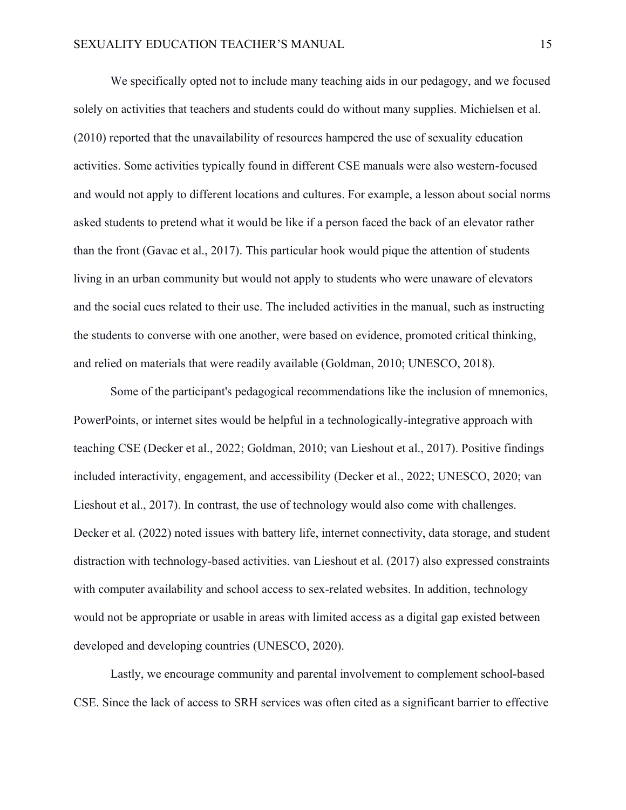We specifically opted not to include many teaching aids in our pedagogy, and we focused solely on activities that teachers and students could do without many supplies. Michielsen et al. (2010) reported that the unavailability of resources hampered the use of sexuality education activities. Some activities typically found in different CSE manuals were also western-focused and would not apply to different locations and cultures. For example, a lesson about social norms asked students to pretend what it would be like if a person faced the back of an elevator rather than the front (Gavac et al., 2017). This particular hook would pique the attention of students living in an urban community but would not apply to students who were unaware of elevators and the social cues related to their use. The included activities in the manual, such as instructing the students to converse with one another, were based on evidence, promoted critical thinking, and relied on materials that were readily available (Goldman, 2010; UNESCO, 2018).

Some of the participant's pedagogical recommendations like the inclusion of mnemonics, PowerPoints, or internet sites would be helpful in a technologically-integrative approach with teaching CSE (Decker et al., 2022; Goldman, 2010; van Lieshout et al., 2017). Positive findings included interactivity, engagement, and accessibility (Decker et al., 2022; UNESCO, 2020; van Lieshout et al., 2017). In contrast, the use of technology would also come with challenges. Decker et al. (2022) noted issues with battery life, internet connectivity, data storage, and student distraction with technology-based activities. van Lieshout et al. (2017) also expressed constraints with computer availability and school access to sex-related websites. In addition, technology would not be appropriate or usable in areas with limited access as a digital gap existed between developed and developing countries (UNESCO, 2020).

Lastly, we encourage community and parental involvement to complement school-based CSE. Since the lack of access to SRH services was often cited as a significant barrier to effective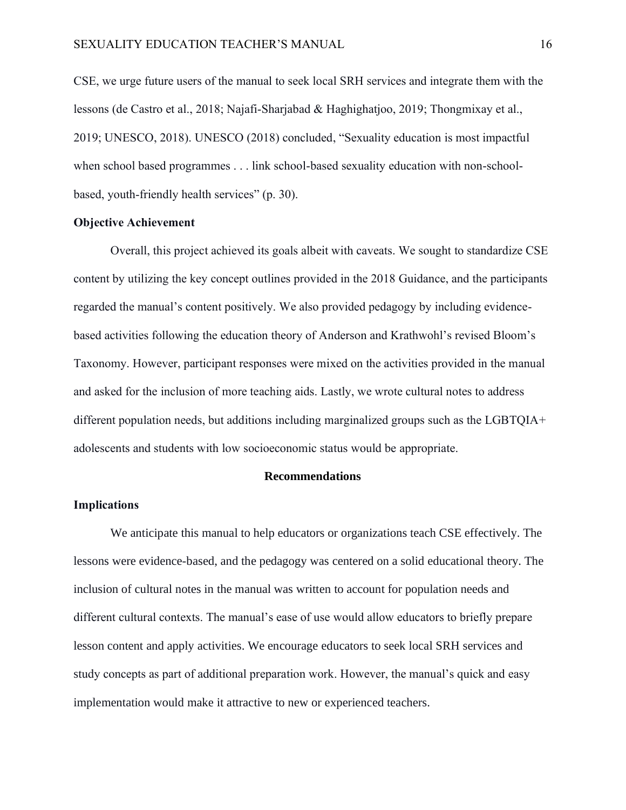CSE, we urge future users of the manual to seek local SRH services and integrate them with the lessons (de Castro et al., 2018; Najafi-Sharjabad & Haghighatjoo, 2019; Thongmixay et al., 2019; UNESCO, 2018). UNESCO (2018) concluded, "Sexuality education is most impactful when school based programmes . . . link school-based sexuality education with non-schoolbased, youth-friendly health services" (p. 30).

#### **Objective Achievement**

Overall, this project achieved its goals albeit with caveats. We sought to standardize CSE content by utilizing the key concept outlines provided in the 2018 Guidance, and the participants regarded the manual's content positively. We also provided pedagogy by including evidencebased activities following the education theory of Anderson and Krathwohl's revised Bloom's Taxonomy. However, participant responses were mixed on the activities provided in the manual and asked for the inclusion of more teaching aids. Lastly, we wrote cultural notes to address different population needs, but additions including marginalized groups such as the LGBTQIA+ adolescents and students with low socioeconomic status would be appropriate.

#### **Recommendations**

#### **Implications**

We anticipate this manual to help educators or organizations teach CSE effectively. The lessons were evidence-based, and the pedagogy was centered on a solid educational theory. The inclusion of cultural notes in the manual was written to account for population needs and different cultural contexts. The manual's ease of use would allow educators to briefly prepare lesson content and apply activities. We encourage educators to seek local SRH services and study concepts as part of additional preparation work. However, the manual's quick and easy implementation would make it attractive to new or experienced teachers.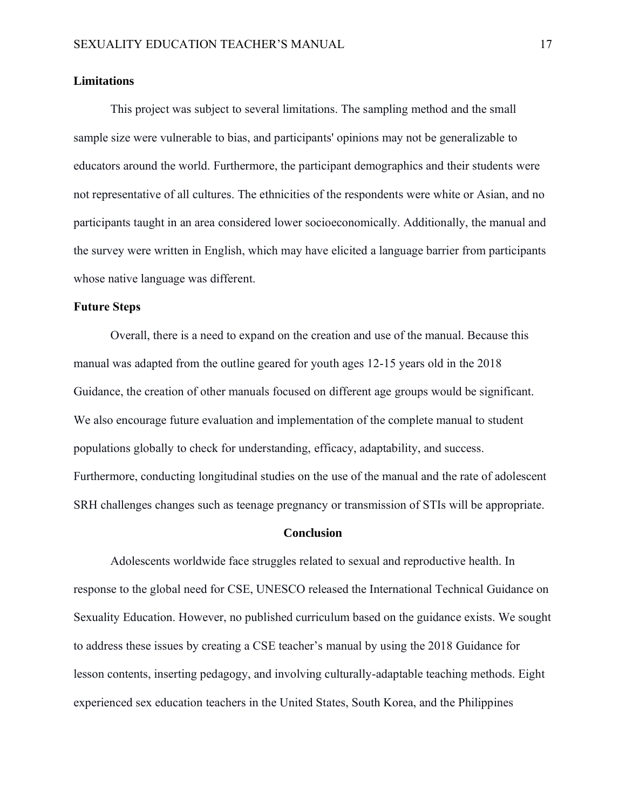#### **Limitations**

This project was subject to several limitations. The sampling method and the small sample size were vulnerable to bias, and participants' opinions may not be generalizable to educators around the world. Furthermore, the participant demographics and their students were not representative of all cultures. The ethnicities of the respondents were white or Asian, and no participants taught in an area considered lower socioeconomically. Additionally, the manual and the survey were written in English, which may have elicited a language barrier from participants whose native language was different.

#### **Future Steps**

Overall, there is a need to expand on the creation and use of the manual. Because this manual was adapted from the outline geared for youth ages 12-15 years old in the 2018 Guidance, the creation of other manuals focused on different age groups would be significant. We also encourage future evaluation and implementation of the complete manual to student populations globally to check for understanding, efficacy, adaptability, and success. Furthermore, conducting longitudinal studies on the use of the manual and the rate of adolescent SRH challenges changes such as teenage pregnancy or transmission of STIs will be appropriate.

#### **Conclusion**

Adolescents worldwide face struggles related to sexual and reproductive health. In response to the global need for CSE, UNESCO released the International Technical Guidance on Sexuality Education. However, no published curriculum based on the guidance exists. We sought to address these issues by creating a CSE teacher's manual by using the 2018 Guidance for lesson contents, inserting pedagogy, and involving culturally-adaptable teaching methods. Eight experienced sex education teachers in the United States, South Korea, and the Philippines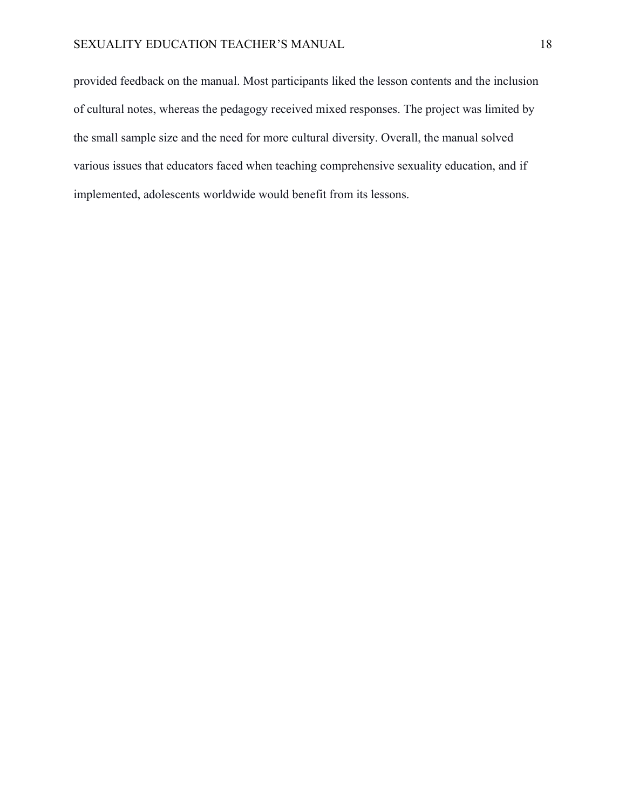provided feedback on the manual. Most participants liked the lesson contents and the inclusion of cultural notes, whereas the pedagogy received mixed responses. The project was limited by the small sample size and the need for more cultural diversity. Overall, the manual solved various issues that educators faced when teaching comprehensive sexuality education, and if implemented, adolescents worldwide would benefit from its lessons.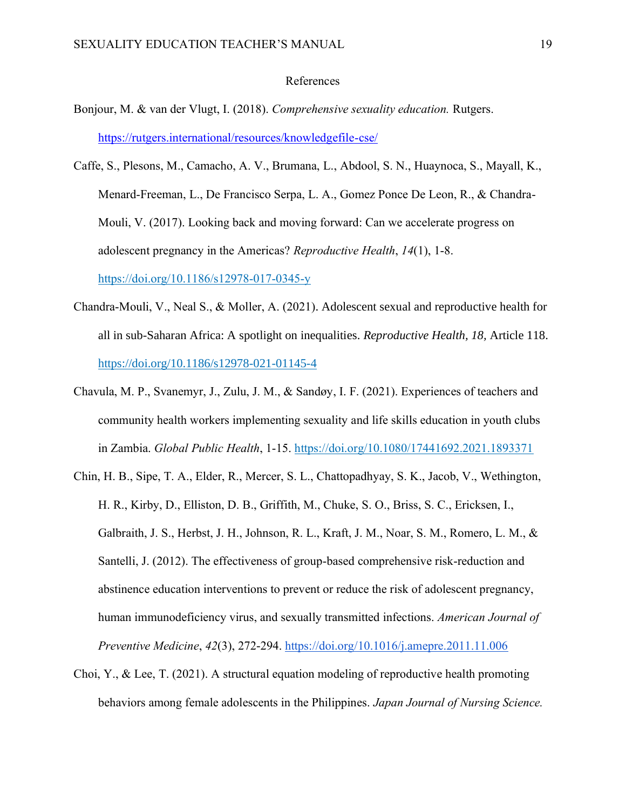#### References

- Bonjour, M. & van der Vlugt, I. (2018). *Comprehensive sexuality education.* Rutgers. <https://rutgers.international/resources/knowledgefile-cse/>
- Caffe, S., Plesons, M., Camacho, A. V., Brumana, L., Abdool, S. N., Huaynoca, S., Mayall, K., Menard-Freeman, L., De Francisco Serpa, L. A., Gomez Ponce De Leon, R., & Chandra-Mouli, V. (2017). Looking back and moving forward: Can we accelerate progress on adolescent pregnancy in the Americas? *Reproductive Health*, *14*(1), 1-8. <https://doi.org/10.1186/s12978-017-0345-y>
- Chandra-Mouli, V., Neal S., & Moller, A. (2021). Adolescent sexual and reproductive health for all in sub-Saharan Africa: A spotlight on inequalities. *Reproductive Health, 18,* Article 118. https://doi.org/10.1186/s12978-021-01145-4
- Chavula, M. P., Svanemyr, J., Zulu, J. M., & Sandøy, I. F. (2021). Experiences of teachers and community health workers implementing sexuality and life skills education in youth clubs in Zambia. *Global Public Health*, 1-15. https://doi.org/10.1080/17441692.2021.1893371
- Chin, H. B., Sipe, T. A., Elder, R., Mercer, S. L., Chattopadhyay, S. K., Jacob, V., Wethington, H. R., Kirby, D., Elliston, D. B., Griffith, M., Chuke, S. O., Briss, S. C., Ericksen, I., Galbraith, J. S., Herbst, J. H., Johnson, R. L., Kraft, J. M., Noar, S. M., Romero, L. M., & Santelli, J. (2012). The effectiveness of group-based comprehensive risk-reduction and abstinence education interventions to prevent or reduce the risk of adolescent pregnancy, human immunodeficiency virus, and sexually transmitted infections. *American Journal of Preventive Medicine*, *42*(3), 272-294.<https://doi.org/10.1016/j.amepre.2011.11.006>
- Choi, Y., & Lee, T. (2021). A structural equation modeling of reproductive health promoting behaviors among female adolescents in the Philippines. *Japan Journal of Nursing Science.*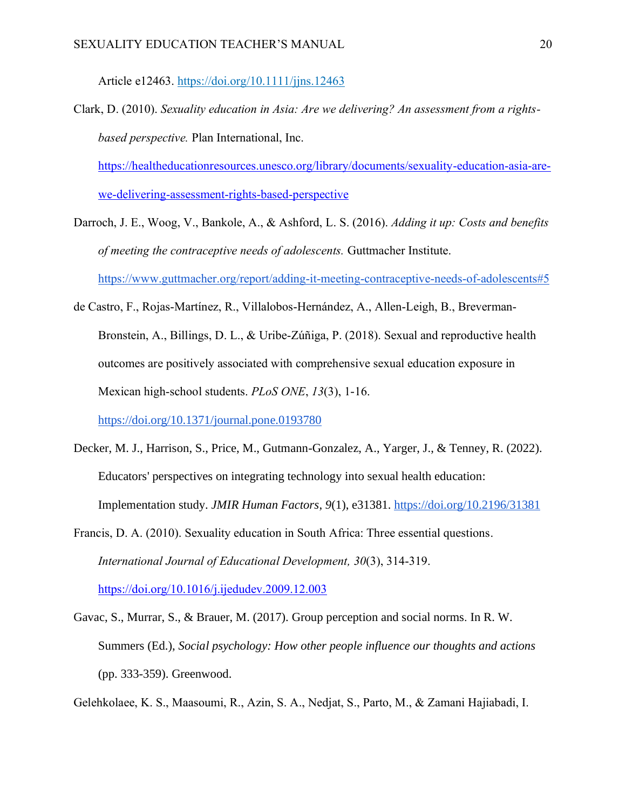Article e12463. https://doi.org/10.1111/jjns.12463

Clark, D. (2010). *Sexuality education in Asia: Are we delivering? An assessment from a rightsbased perspective.* Plan International, Inc.

[https://healtheducationresources.unesco.org/library/documents/sexuality-education-asia-are](https://healtheducationresources.unesco.org/library/documents/sexuality-education-asia-are-we-delivering-assessment-rights-based-perspective)[we-delivering-assessment-rights-based-perspective](https://healtheducationresources.unesco.org/library/documents/sexuality-education-asia-are-we-delivering-assessment-rights-based-perspective)

- Darroch, J. E., Woog, V., Bankole, A., & Ashford, L. S. (2016). *Adding it up: Costs and benefits of meeting the contraceptive needs of adolescents.* Guttmacher Institute. <https://www.guttmacher.org/report/adding-it-meeting-contraceptive-needs-of-adolescents#5>
- de Castro, F., Rojas-Martínez, R., Villalobos-Hernández, A., Allen-Leigh, B., Breverman-Bronstein, A., Billings, D. L., & Uribe-Zúñiga, P. (2018). Sexual and reproductive health outcomes are positively associated with comprehensive sexual education exposure in Mexican high-school students. *PLoS ONE*, *13*(3), 1-16.

<https://doi.org/10.1371/journal.pone.0193780>

- Decker, M. J., Harrison, S., Price, M., Gutmann-Gonzalez, A., Yarger, J., & Tenney, R. (2022). Educators' perspectives on integrating technology into sexual health education: Implementation study. *JMIR Human Factors*, *9*(1), e31381.<https://doi.org/10.2196/31381>
- Francis, D. A. (2010). Sexuality education in South Africa: Three essential questions. *International Journal of Educational Development, 30*(3), 314-319. <https://doi.org/10.1016/j.ijedudev.2009.12.003>
- Gavac, S., Murrar, S., & Brauer, M. (2017). [Group perception and social norms](http://psych.wisc.edu/Brauer/BrauerLab/wp-content/uploads/2014/04/chapter-17.pdf). In R. W. Summers (Ed.), *Social psychology: How other people influence our thoughts and actions*  (pp. 333-359). Greenwood.

Gelehkolaee, K. S., Maasoumi, R., Azin, S. A., Nedjat, S., Parto, M., & Zamani Hajiabadi, I.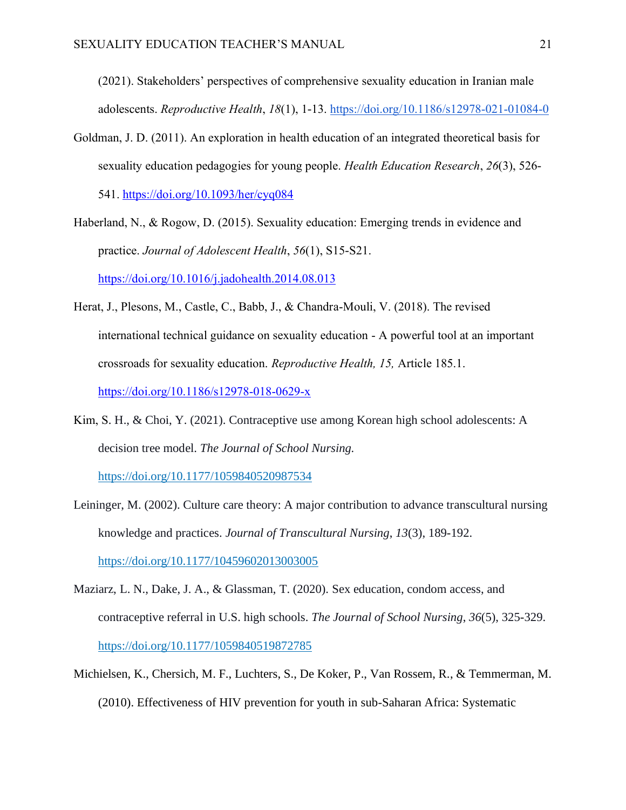(2021). Stakeholders' perspectives of comprehensive sexuality education in Iranian male adolescents. *Reproductive Health*, *18*(1), 1-13.<https://doi.org/10.1186/s12978-021-01084-0>

- Goldman, J. D. (2011). An exploration in health education of an integrated theoretical basis for sexuality education pedagogies for young people. *Health Education Research*, *26*(3), 526- 541.<https://doi.org/10.1093/her/cyq084>
- Haberland, N., & Rogow, D. (2015). Sexuality education: Emerging trends in evidence and practice. *Journal of Adolescent Health*, *56*(1), S15-S21. <https://doi.org/10.1016/j.jadohealth.2014.08.013>
- Herat, J., Plesons, M., Castle, C., Babb, J., & Chandra-Mouli, V. (2018). The revised international technical guidance on sexuality education - A powerful tool at an important crossroads for sexuality education. *Reproductive Health, 15,* Article 185.1. <https://doi.org/10.1186/s12978-018-0629-x>
- Kim, S. H., & Choi, Y. (2021). Contraceptive use among Korean high school adolescents: A decision tree model. *The Journal of School Nursing.*

[https://doi.org/10.1177/1059840520987534](https://doi.org/10.1177%2F1059840520987534)

- Leininger, M. (2002). Culture care theory: A major contribution to advance transcultural nursing knowledge and practices. *Journal of Transcultural Nursing*, *13*(3), 189-192. [https://doi.org/10.1177/10459602013003005](https://doi.org/10.1177%2F10459602013003005)
- Maziarz, L. N., Dake, J. A., & Glassman, T. (2020). Sex education, condom access, and contraceptive referral in U.S. high schools. *The Journal of School Nursing*, *36*(5), 325-329. <https://doi.org/10.1177/1059840519872785>
- Michielsen, K., Chersich, M. F., Luchters, S., De Koker, P., Van Rossem, R., & Temmerman, M. (2010). Effectiveness of HIV prevention for youth in sub-Saharan Africa: Systematic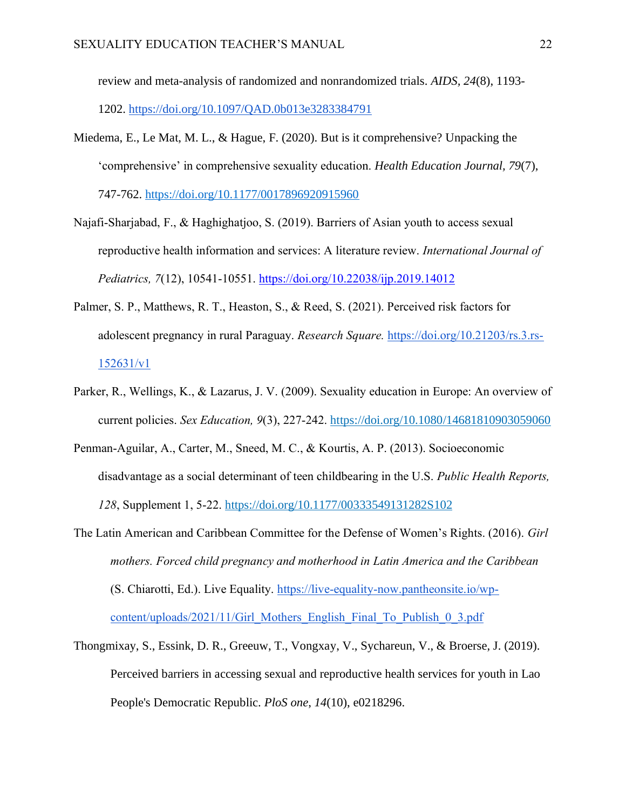review and meta-analysis of randomized and nonrandomized trials. *AIDS, 24*(8), 1193- 1202.<https://doi.org/10.1097/QAD.0b013e3283384791>

- Miedema, E., Le Mat, M. L., & Hague, F. (2020). But is it comprehensive? Unpacking the 'comprehensive' in comprehensive sexuality education. *Health Education Journal, 79*(7), 747-762. [https://doi.org/10.1177/0017896920915960](https://doi.org/10.1177%2F0017896920915960)
- Najafi-Sharjabad, F., & Haghighatjoo, S. (2019). Barriers of Asian youth to access sexual reproductive health information and services: A literature review. *International Journal of Pediatrics, 7*(12), 10541-10551.<https://doi.org/10.22038/ijp.2019.14012>
- Palmer, S. P., Matthews, R. T., Heaston, S., & Reed, S. (2021). Perceived risk factors for adolescent pregnancy in rural Paraguay. *Research Square.* [https://doi.org/10.21203/rs.3.rs-](https://doi.org/10.21203/rs.3.rs-152631/v1)[152631/v1](https://doi.org/10.21203/rs.3.rs-152631/v1)
- Parker, R., Wellings, K., & Lazarus, J. V. (2009). Sexuality education in Europe: An overview of current policies. *Sex Education, 9*(3), 227-242. <https://doi.org/10.1080/14681810903059060>
- Penman-Aguilar, A., Carter, M., Sneed, M. C., & Kourtis, A. P. (2013). Socioeconomic disadvantage as a social determinant of teen childbearing in the U.S. *Public Health Reports, 128*, Supplement 1, 5-22. [https://doi.org/10.1177/00333549131282S102](https://doi.org/10.1177%2F00333549131282S102)
- The Latin American and Caribbean Committee for the Defense of Women's Rights. (2016). *Girl mothers. Forced child pregnancy and motherhood in Latin America and the Caribbean* (S. Chiarotti, Ed.). Live Equality. [https://live-equality-now.pantheonsite.io/wp](https://live-equality-now.pantheonsite.io/wp-content/uploads/2021/11/Girl_Mothers_English_Final_To_Publish_0_3.pdf)[content/uploads/2021/11/Girl\\_Mothers\\_English\\_Final\\_To\\_Publish\\_0\\_3.pdf](https://live-equality-now.pantheonsite.io/wp-content/uploads/2021/11/Girl_Mothers_English_Final_To_Publish_0_3.pdf)
- Thongmixay, S., Essink, D. R., Greeuw, T., Vongxay, V., Sychareun, V., & Broerse, J. (2019). Perceived barriers in accessing sexual and reproductive health services for youth in Lao People's Democratic Republic. *PloS one*, *14*(10), e0218296.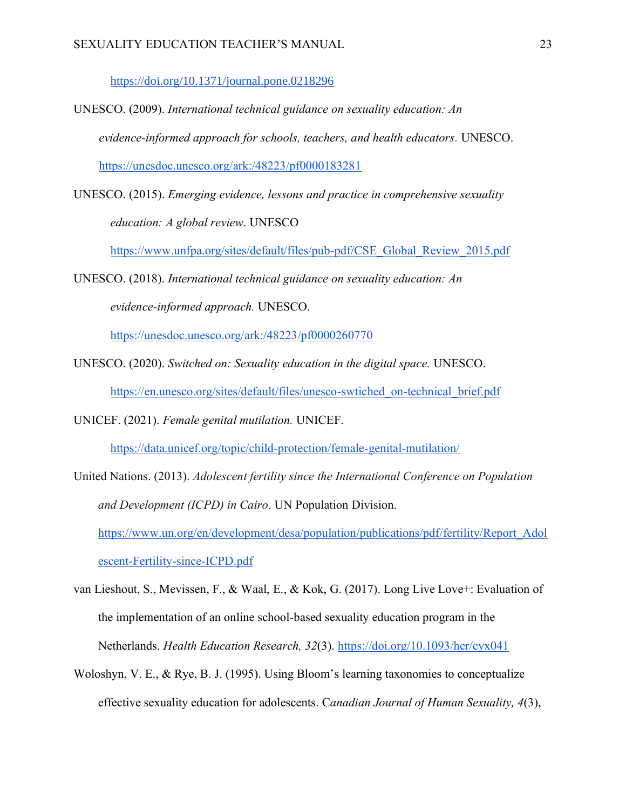<https://doi.org/10.1371/journal.pone.0218296>

- UNESCO. (2009). *International technical guidance on sexuality education: An evidence-informed approach for schools, teachers, and health educators.* UNESCO. <https://unesdoc.unesco.org/ark:/48223/pf0000183281>
- UNESCO. (2015). *Emerging evidence, lessons and practice in comprehensive sexuality education: A global review*. UNESCO

[https://www.unfpa.org/sites/default/files/pub-pdf/CSE\\_Global\\_Review\\_2015.pdf](https://www.unfpa.org/sites/default/files/pub-pdf/CSE_Global_Review_2015.pdf) 

UNESCO. (2018). *International technical guidance on sexuality education: An evidence-informed approach.* UNESCO.

<https://unesdoc.unesco.org/ark:/48223/pf0000260770>

- UNESCO. (2020). *Switched on: Sexuality education in the digital space.* UNESCO. [https://en.unesco.org/sites/default/files/unesco-swtiched\\_on-technical\\_brief.pdf](https://en.unesco.org/sites/default/files/unesco-swtiched_on-technical_brief.pdf)
- UNICEF. (2021). *Female genital mutilation.* UNICEF.

<https://data.unicef.org/topic/child-protection/female-genital-mutilation/>

- United Nations. (2013). *Adolescent fertility since the International Conference on Population and Development (ICPD) in Cairo*. UN Population Division. [https://www.un.org/en/development/desa/population/publications/pdf/fertility/Report\\_Adol](https://www.un.org/en/development/desa/population/publications/pdf/fertility/Report_Adolescent-Fertility-since-ICPD.pdf) [escent-Fertility-since-ICPD.pdf](https://www.un.org/en/development/desa/population/publications/pdf/fertility/Report_Adolescent-Fertility-since-ICPD.pdf)
- van Lieshout, S., Mevissen, F., & Waal, E., & Kok, G. (2017). Long Live Love+: Evaluation of the implementation of an online school-based sexuality education program in the Netherlands. *Health Education Research, 32*(3).<https://doi.org/10.1093/her/cyx041>
- Woloshyn, V. E., & Rye, B. J. (1995). Using Bloom's learning taxonomies to conceptualize effective sexuality education for adolescents. C*anadian Journal of Human Sexuality, 4*(3),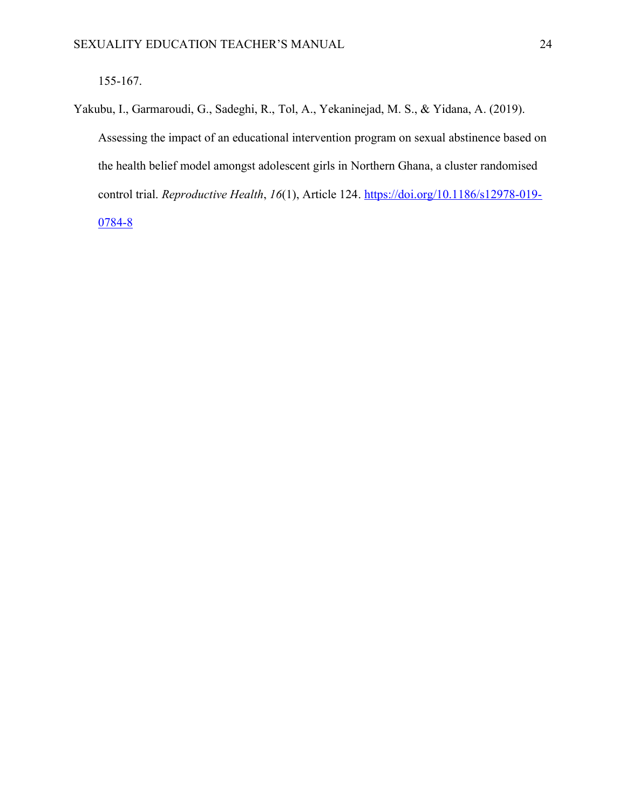Yakubu, I., Garmaroudi, G., Sadeghi, R., Tol, A., Yekaninejad, M. S., & Yidana, A. (2019). Assessing the impact of an educational intervention program on sexual abstinence based on the health belief model amongst adolescent girls in Northern Ghana, a cluster randomised control trial. *Reproductive Health*, *16*(1), Article 124. [https://doi.org/10.1186/s12978-019-](https://doi.org/10.1186/s12978-019-0784-8) [0784-8](https://doi.org/10.1186/s12978-019-0784-8)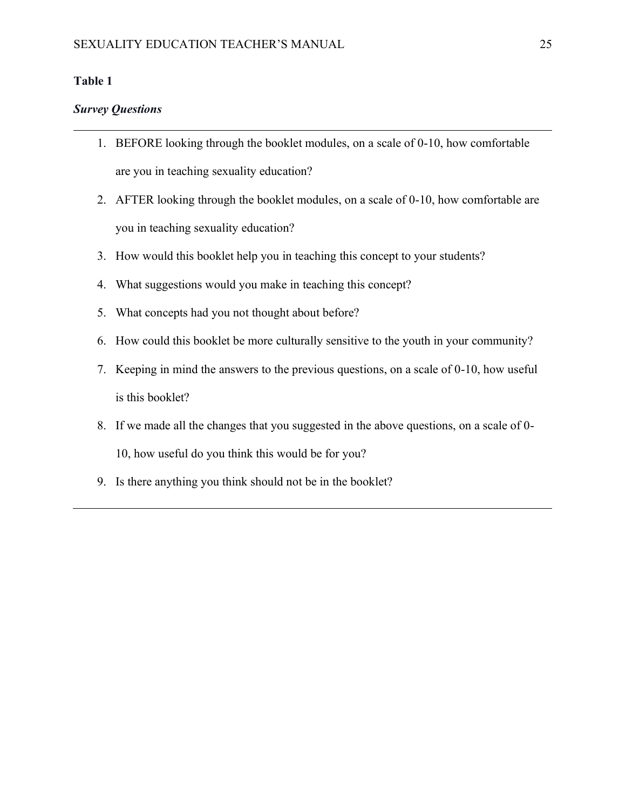### <span id="page-31-0"></span>**Table 1**

#### *Survey Questions*

- 1. BEFORE looking through the booklet modules, on a scale of 0-10, how comfortable are you in teaching sexuality education?
- 2. AFTER looking through the booklet modules, on a scale of 0-10, how comfortable are you in teaching sexuality education?
- 3. How would this booklet help you in teaching this concept to your students?
- 4. What suggestions would you make in teaching this concept?
- 5. What concepts had you not thought about before?
- 6. How could this booklet be more culturally sensitive to the youth in your community?
- 7. Keeping in mind the answers to the previous questions, on a scale of 0-10, how useful is this booklet?
- 8. If we made all the changes that you suggested in the above questions, on a scale of 0- 10, how useful do you think this would be for you?
- 9. Is there anything you think should not be in the booklet?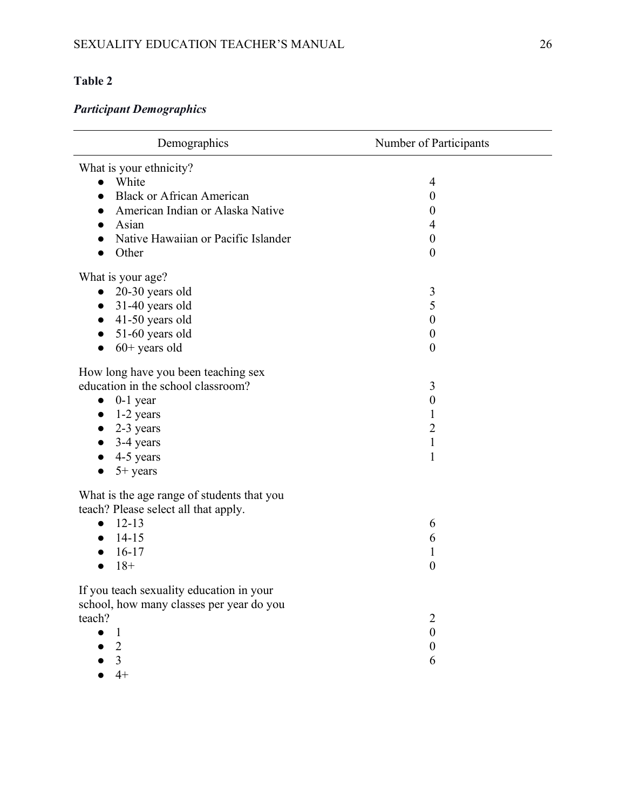# <span id="page-32-0"></span>**Table 2**

# *Participant Demographics*

| Demographics                                  | Number of Participants |
|-----------------------------------------------|------------------------|
| What is your ethnicity?                       |                        |
| White                                         | 4                      |
| <b>Black or African American</b>              | 0                      |
| American Indian or Alaska Native<br>$\bullet$ | 0                      |
| Asian                                         | 4                      |
| Native Hawaiian or Pacific Islander           | $\boldsymbol{0}$       |
| Other                                         | $\boldsymbol{0}$       |
| What is your age?                             |                        |
| $\bullet$ 20-30 years old                     | 3                      |
| 31-40 years old<br>$\bullet$                  | 5                      |
| 41-50 years old                               | $\boldsymbol{0}$       |
| 51-60 years old<br>$\bullet$                  | $\boldsymbol{0}$       |
| $60+$ years old                               | $\boldsymbol{0}$       |
| How long have you been teaching sex           |                        |
| education in the school classroom?            | 3                      |
| $0-1$ year<br>$\bullet$                       | $\boldsymbol{0}$       |
| 1-2 years<br>$\bullet$                        | $\mathbf{1}$           |
| 2-3 years                                     | $\overline{2}$         |
| 3-4 years                                     | $\mathbf{1}$           |
| 4-5 years                                     | $\mathbf{1}$           |
| $5+$ years                                    |                        |
| What is the age range of students that you    |                        |
| teach? Please select all that apply.          |                        |
| $12 - 13$<br>$\bullet$                        | 6                      |
| $14 - 15$                                     | 6                      |
| $16-17$                                       | $\mathbf 1$            |
| $18+$                                         | $\boldsymbol{0}$       |
| If you teach sexuality education in your      |                        |
| school, how many classes per year do you      |                        |
| teach?                                        | $\overline{2}$         |
| 1                                             | $\boldsymbol{0}$       |
| $\overline{2}$                                | $\boldsymbol{0}$       |
| 3                                             | 6                      |
| $4+$                                          |                        |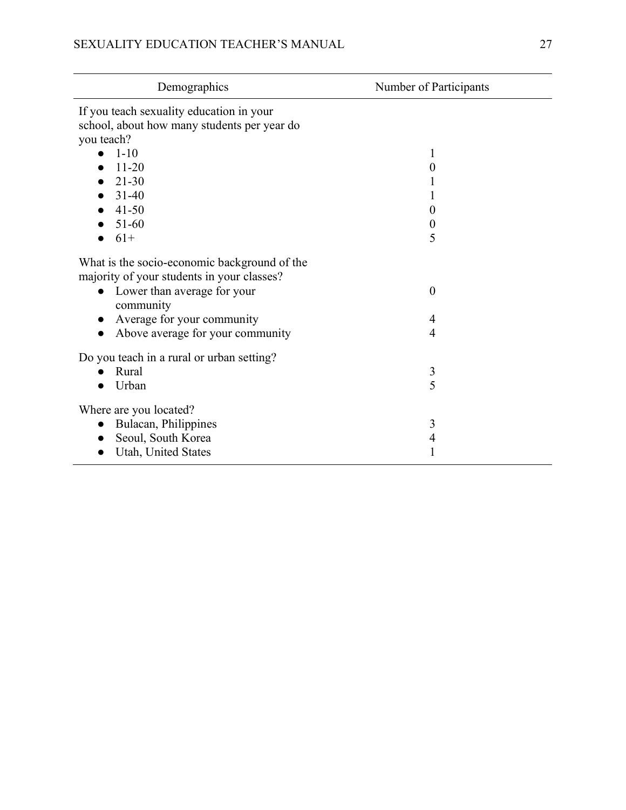| Demographics                                                                               | Number of Participants |
|--------------------------------------------------------------------------------------------|------------------------|
| If you teach sexuality education in your                                                   |                        |
| school, about how many students per year do                                                |                        |
| you teach?                                                                                 |                        |
| $1 - 10$                                                                                   |                        |
| $11 - 20$                                                                                  | 0                      |
| $21 - 30$                                                                                  |                        |
| $31 - 40$                                                                                  |                        |
| $41 - 50$                                                                                  | 0                      |
| 51-60                                                                                      | 0                      |
| $61+$<br>$\bullet$                                                                         | 5                      |
| What is the socio-economic background of the<br>majority of your students in your classes? |                        |
| • Lower than average for your<br>community                                                 | $\boldsymbol{0}$       |
| Average for your community                                                                 | 4                      |
| Above average for your community<br>$\bullet$                                              | 4                      |
| Do you teach in a rural or urban setting?                                                  |                        |
| Rural                                                                                      | $\mathfrak{Z}$         |
| Urban<br>$\bullet$                                                                         | 5                      |
| Where are you located?                                                                     |                        |
| Bulacan, Philippines<br>$\bullet$                                                          | 3                      |
| Seoul, South Korea<br>$\bullet$                                                            | 4                      |
| Utah, United States                                                                        |                        |